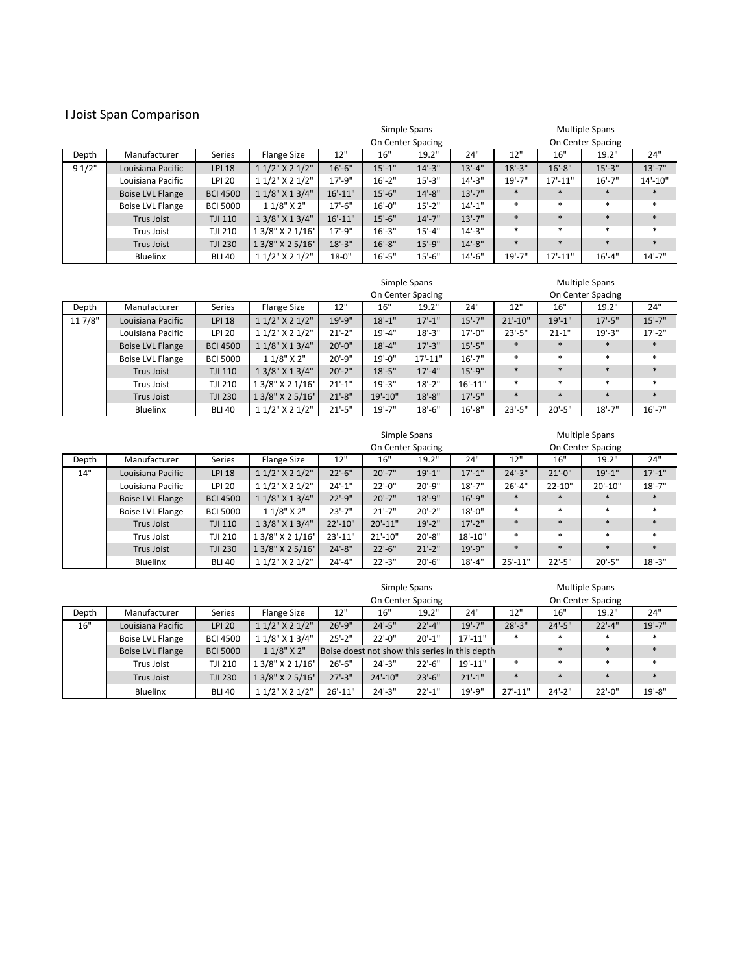## I Joist Span Comparison

|       |                         |                 |                      |              |             | Simple Spans      |              | <b>Multiple Spans</b> |              |                   |            |  |
|-------|-------------------------|-----------------|----------------------|--------------|-------------|-------------------|--------------|-----------------------|--------------|-------------------|------------|--|
|       |                         |                 |                      |              |             | On Center Spacing |              |                       |              | On Center Spacing |            |  |
| Depth | Manufacturer            | <b>Series</b>   | <b>Flange Size</b>   | 12"          | 16"         | 19.2"             | 24"          | 12"                   | 16"          | 19.2"             | 24"        |  |
| 91/2" | Louisiana Pacific       | <b>LPI 18</b>   | $11/2$ " X 2 $1/2$ " | $16'-6''$    | $15'-1$ "   | $14'-3''$         | $13'-4$ "    | $18'-3$ "             | $16'-8''$    | $15'-3''$         | $13'-7''$  |  |
|       | Louisiana Pacific       | <b>LPI 20</b>   | $11/2$ " X 2 $1/2$ " | $17' - 9''$  | $16'-2$ "   | $15' - 3''$       | $14'-3''$    | $19' - 7"$            | $17' - 11''$ | $16' - 7''$       | $14'-10''$ |  |
|       | <b>Boise LVL Flange</b> | <b>BCI 4500</b> | 1 1/8" X 1 3/4"      | $16' - 11''$ | $15'-6''$   | $14'-8''$         | $13'-7''$    | $\ast$                | $\ast$       | $\ast$            |            |  |
|       | <b>Boise LVL Flange</b> | <b>BCI 5000</b> | $11/8"$ X 2"         | $17' - 6''$  | $16'-0''$   | $15' - 2"$        | $14'-1$ "    | $\ast$                | $\ast$       | $\ast$            | $\ast$     |  |
|       | Trus Joist              | <b>TJI 110</b>  | 1 3/8" X 1 3/4"      | $16' - 11''$ | $15'-6''$   | $14'-7''$         | $13'-7''$    | $\ast$                | $\ast$       | $\ast$            |            |  |
|       | Trus Joist              | TJI 210         | 1 3/8" X 2 1/16"     | $17' - 9''$  | $16'-3''$   | $15' - 4''$       | $14'-3''$    | $\ast$                | $\ast$       | $\ast$            | $\ast$     |  |
|       | Trus Joist              | <b>TJI 230</b>  | 1 3/8" X 2 5/16"     | $18'-3''$    | $16' - 8''$ | $15'-9''$         | $14'-8''$    | $\ast$                | $\ast$       | $\ast$            | $\ast$     |  |
|       | Bluelinx                | $18 - 0$ "      | $16' - 5''$          | $15'-6''$    | $14'-6''$   | $19' - 7''$       | $17' - 11''$ | $16' - 4''$           | $14'-7''$    |                   |            |  |

|        |                         |                 |                      |             |              | Simple Spans      |              |              |             | <b>Multiple Spans</b> |             |
|--------|-------------------------|-----------------|----------------------|-------------|--------------|-------------------|--------------|--------------|-------------|-----------------------|-------------|
|        |                         |                 |                      |             |              | On Center Spacing |              |              |             | On Center Spacing     |             |
| Depth  | Manufacturer            | <b>Series</b>   | Flange Size          | 12"         | 16"          | 19.2"             | 24"          | 12"          | 16"         | 19.2"                 | 24"         |
| 117/8" | Louisiana Pacific       | <b>LPI 18</b>   | $11/2$ " X 2 $1/2$ " | $19' - 9''$ | $18' - 1"$   | $17' - 1''$       | $15'-7''$    | $21' - 10''$ | $19' - 1''$ | $17' - 5"$            | $15' - 7''$ |
|        | Louisiana Pacific       | <b>LPI 20</b>   | $11/2$ " X 2 $1/2$ " | $21'-2"$    | $19' - 4''$  | $18' - 3''$       | $17' - 0''$  | $23'-5''$    | $21 - 1"$   | $19' - 3''$           | $17 - 2$ "  |
|        | <b>Boise LVL Flange</b> | <b>BCI 4500</b> | $11/8$ " X $13/4$ "  | $20'-0''$   | $18'-4$ "    | $17' - 3''$       | $15'-5$ "    | $\ast$       | $\ast$      | $\ast$                | $\ast$      |
|        | Boise LVL Flange        | <b>BCI 5000</b> | $11/8"$ X 2"         | $20' - 9"$  | $19'-0$ "    | $17' - 11''$      | $16' - 7"$   | $\ast$       | $\ast$      | $\ast$                | $\ast$      |
|        | Trus Joist              | <b>TJI 110</b>  | 1 3/8" X 1 3/4"      | $20'-2"$    | $18'-5''$    | $17' - 4''$       | $15'-9''$    | $\ast$       | $\ast$      | $\ast$                | $\ast$      |
|        | Trus Joist              | TJI 210         | 1 3/8" X 2 1/16"     | $21'-1$ "   | $19' - 3''$  | $18 - 2"$         | $16' - 11''$ | $\ast$       | $\ast$      | $\ast$                | $\ast$      |
|        | Trus Joist              | <b>TJI 230</b>  | 1 3/8" X 2 5/16"     | $21'-8''$   | $19' - 10''$ | $18' - 8''$       | $17' - 5''$  | $\ast$       | $\ast$      | $\ast$                | $\ast$      |
|        | <b>Bluelinx</b>         | <b>BLI 40</b>   | $11/2$ " X 2 $1/2$ " | $21'-5''$   | $19' - 7''$  | $18'-6''$         | $16' - 8''$  | $23'-5''$    | $20' - 5"$  | $18' - 7''$           | $16'-7$ "   |

|       |                         |                 |                      | Simple Spans<br><b>Multiple Spans</b><br>On Center Spacing<br>On Center Spacing<br>12"<br>24"<br>12"<br>19.2"<br>16"<br>16"<br>19.2"<br>$22'-6''$<br>$20'-7"$<br>$19' - 1''$<br>$17'-1$ "<br>$24'-3''$<br>$21'-0''$<br>$19' - 1''$<br>$18' - 7''$<br>$24'-1$ "<br>$22'-0''$<br>$20' - 9''$<br>$26' - 4''$<br>$20' - 10''$<br>$22 - 10"$<br>$22'-9''$<br>$18'-9''$<br>$16'-9''$<br>$20' - 7"$<br>$\ast$<br>$\ast$<br>$\ast$<br>$23'-7"$<br>$\ast$<br>$21'-7''$<br>$20'-2"$<br>$18 - 0$ "<br>$\ast$ |             |             |              |              |           |            |             |
|-------|-------------------------|-----------------|----------------------|---------------------------------------------------------------------------------------------------------------------------------------------------------------------------------------------------------------------------------------------------------------------------------------------------------------------------------------------------------------------------------------------------------------------------------------------------------------------------------------------------|-------------|-------------|--------------|--------------|-----------|------------|-------------|
| Depth | Manufacturer            | <b>Series</b>   | Flange Size          |                                                                                                                                                                                                                                                                                                                                                                                                                                                                                                   |             |             |              |              |           |            | 24"         |
| 14"   | Louisiana Pacific       | <b>LPI 18</b>   | $11/2$ " X 2 $1/2$ " |                                                                                                                                                                                                                                                                                                                                                                                                                                                                                                   |             |             |              |              |           |            | $17'-1$ "   |
|       | Louisiana Pacific       | <b>LPI 20</b>   | $11/2$ " X 2 $1/2$ " |                                                                                                                                                                                                                                                                                                                                                                                                                                                                                                   |             |             |              |              |           |            | $18' - 7''$ |
|       | <b>Boise LVL Flange</b> | <b>BCI 4500</b> | 1 1/8" X 1 3/4"      |                                                                                                                                                                                                                                                                                                                                                                                                                                                                                                   |             |             |              |              |           |            | $\ast$      |
|       | <b>Boise LVL Flange</b> | <b>BCI 5000</b> | $11/8"$ X 2"         |                                                                                                                                                                                                                                                                                                                                                                                                                                                                                                   |             |             |              |              |           |            | $\ast$      |
|       | <b>Trus Joist</b>       | <b>TJI 110</b>  | 1 3/8" X 1 3/4"      | $22'-10''$                                                                                                                                                                                                                                                                                                                                                                                                                                                                                        | $20' - 11"$ | $19' - 2''$ | $17' - 2''$  | $\ast$       | $\ast$    | $\ast$     | $\ast$      |
|       | Trus Joist              | <b>TJI 210</b>  | 1 3/8" X 2 1/16"     | $23' - 11''$                                                                                                                                                                                                                                                                                                                                                                                                                                                                                      | $21'-10''$  | $20' - 8''$ | $18' - 10''$ | $\ast$       | $\ast$    | $\ast$     | $\ast$      |
|       | Trus Joist              | <b>TJI 230</b>  | 1 3/8" X 2 5/16"     | $24'-8''$                                                                                                                                                                                                                                                                                                                                                                                                                                                                                         | $22'-6''$   | $21'-2$ "   | $19' - 9''$  | $\ast$       | $\ast$    | $\ast$     | $\ast$      |
|       | <b>Bluelinx</b>         | <b>BLI 40</b>   | $11/2$ " X 2 $1/2$ " | $24'-4"$                                                                                                                                                                                                                                                                                                                                                                                                                                                                                          | $22'-3''$   | $20'-6''$   | $18' - 4''$  | $25' - 11''$ | $22'-5''$ | $20' - 5"$ | $18'-3''$   |

|       |                         |                 |                      | Simple Spans<br>On Center Spacing |              |            |                                                |              |           | <b>Multiple Spans</b><br>On Center Spacing |             |
|-------|-------------------------|-----------------|----------------------|-----------------------------------|--------------|------------|------------------------------------------------|--------------|-----------|--------------------------------------------|-------------|
| Depth | Manufacturer            | <b>Series</b>   | Flange Size          | 12"                               | 16"          | 19.2"      | 24"                                            | 12"          | 16"       | 19.2"                                      | 24"         |
| 16"   | Louisiana Pacific       | <b>LPI 20</b>   | $11/2$ " X 2 $1/2$ " | $26'-9''$                         | $24'-5''$    | $22'-4$ "  | $19' - 7''$                                    | $28'-3''$    | $24'-5''$ | $22'-4"$                                   | $19' - 7''$ |
|       | <b>Boise LVL Flange</b> | <b>BCI 4500</b> | 1 1/8" X 1 3/4"      | $25 - 2"$                         | $22'-0''$    | $20' - 1"$ | $17' - 11''$                                   | $\ast$       | $\ast$    |                                            | $\ast$      |
|       | <b>Boise LVL Flange</b> | <b>BCI 5000</b> | $11/8$ " X 2"        |                                   |              |            | Boise doest not show this series in this depth |              | $\ast$    |                                            | $\ast$      |
|       | Trus Joist              | <b>TJI 210</b>  | 1 3/8" X 2 1/16"     | $26'-6''$                         | $24'-3''$    | $22'-6''$  | $19' - 11''$                                   | $\ast$       | $\ast$    | $\ast$                                     | $\ast$      |
|       | Trus Joist              | <b>TJI 230</b>  | 1 3/8" X 2 5/16"     | $27'-3''$                         | $24' - 10''$ | $23'-6''$  | $21'-1$ "                                      | $\ast$       | $\ast$    |                                            | $\ast$      |
|       | <b>Bluelinx</b>         | <b>BLI 40</b>   | $11/2$ " X 2 $1/2$ " | $26' - 11''$                      | $24'-3''$    | $22'-1$ "  | 19'-9"                                         | $27' - 11''$ | $24'-2"$  | $22'-0''$                                  | $19' - 8''$ |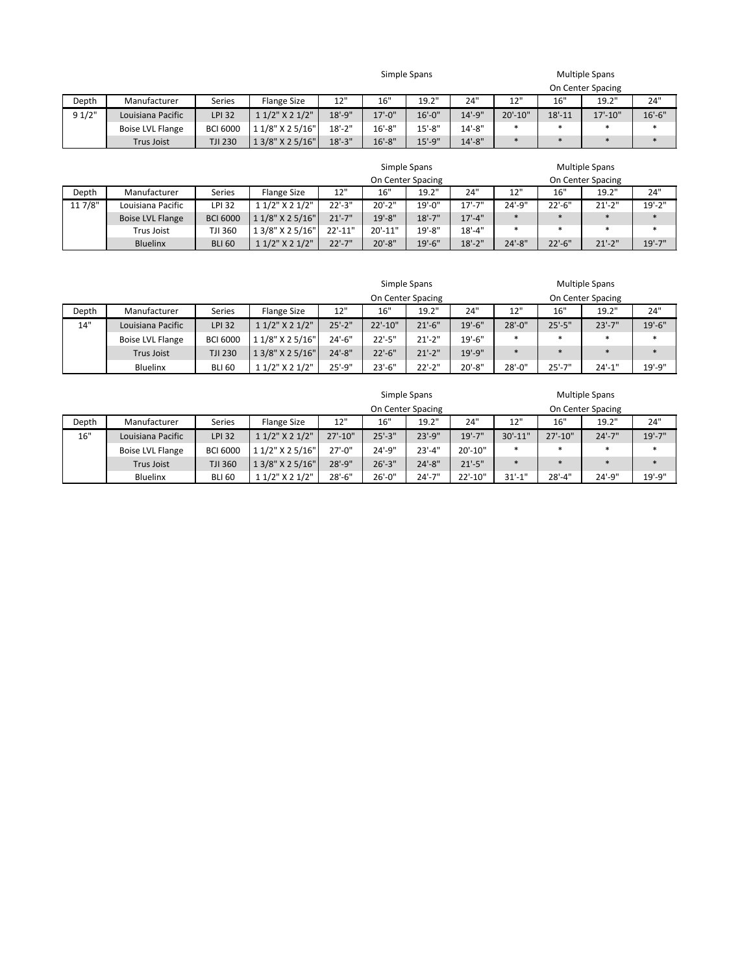| Simple Spans | <b>Multiple Spans</b> |
|--------------|-----------------------|
|              | On Contor Spacin      |

|        |                         |                 |                      |           |             |             |             |              |            | On Center Spacing |           |
|--------|-------------------------|-----------------|----------------------|-----------|-------------|-------------|-------------|--------------|------------|-------------------|-----------|
| Depth  | Manufacturer            | Series          | Flange Size          | 12"       | 16"         | 19.2"       | 24"         | 12"<br>∸∸    | 16"        | 19.2"             | 24"       |
| 9 1/2" | Louisiana Pacific       | <b>LPI 32</b>   | $11/2$ " X 2 $1/2$ " | $18'-9''$ | $17' - 0''$ | $16' - 0''$ | $14' - 9''$ | $20' - 10''$ | $18' - 11$ | $17' - 10''$      | $16'-6''$ |
|        | <b>Boise LVL Flange</b> | <b>BCI 6000</b> | 1 1/8" X 2 5/16"     | $18 - 2"$ | $16' - 8''$ | $15' - 8''$ | 14'-8"      |              |            |                   |           |
|        | <b>Trus Joist</b>       | <b>TJI 230</b>  | 1 3/8" X 2 5/16"     | $18'-3''$ | $16' - 8''$ | $15' - 9''$ | $14'-8''$   |              |            |                   |           |

|         |                   |                 |                      |                   |              | Simple Spans |             |             | <b>Multiple Spans</b> |                   |             |
|---------|-------------------|-----------------|----------------------|-------------------|--------------|--------------|-------------|-------------|-----------------------|-------------------|-------------|
|         |                   |                 |                      | On Center Spacing |              |              |             |             |                       | On Center Spacing |             |
| Depth   | Manufacturer      | Series          | <b>Flange Size</b>   | 12"               | 16"          | 19.2"        | 24"         | 12"         | 16"                   | 19.2"             | 24"         |
| 11 7/8" | Louisiana Pacific | LPI 32          | 1 1/2" X 2 1/2"      | $22'-3''$         | $20'-2"$     | $19' - 0''$  | 17'-7"      | $24' - 9''$ | $22'-6''$             | $21'-2$ "         | $19' - 2''$ |
|         | Boise LVL Flange  | <b>BCI 6000</b> | 1 1/8" X 2 5/16"     | $21'-7"$          | $19' - 8''$  | $18' - 7''$  | $17' - 4''$ | $\ast$      | $\ast$                | $\ast$            |             |
|         | Trus Joist        | TJI 360         | 1 3/8" X 2 5/16"     | $22'-11"$         | $20' - 11''$ | $19' - 8''$  | $18' - 4"$  |             | $\ast$                | $\ast$            | $\ast$      |
|         | <b>Bluelinx</b>   | <b>BLI 60</b>   | $11/2$ " X 2 $1/2$ " | $22'-7"$          | $20' - 8''$  | $19' - 6''$  | $18'-2"$    | $24'-8''$   | $22'-6''$             | $21'-2$ "         | $19' - 7''$ |

|       |                   |                 |                      | Simple Spans               |            |           |             |           |             | <b>Multiple Spans</b> |             |
|-------|-------------------|-----------------|----------------------|----------------------------|------------|-----------|-------------|-----------|-------------|-----------------------|-------------|
|       |                   |                 |                      | On Center Spacing          |            |           |             |           |             | On Center Spacing     |             |
| Depth | Manufacturer      | <b>Series</b>   | Flange Size          | 24"<br>12"<br>19.2"<br>16" |            |           |             |           | 16"         | 19.2"                 | 24"         |
| 14"   | Louisiana Pacific | <b>LPI 32</b>   | $11/2$ " X 2 $1/2$ " | $25'-2"$                   | $22'-10"$  | $21'-6''$ | $19' - 6''$ | $28'-0$ " | $25'-5''$   | $23'-7''$             | $19' - 6''$ |
|       | Boise LVL Flange  | <b>BCI 6000</b> | 1 1/8" X 2 5/16"     | $24'-6''$                  | $22' - 5"$ | $21'-2$ " | $19' - 6''$ | $\ast$    | $\ast$      |                       | $\ast$      |
|       | <b>Trus Joist</b> | <b>TJI 230</b>  | 1 3/8" X 2 5/16"     | $24'-8''$                  | $22'-6''$  | $21'-2$ " | $19' - 9''$ |           | $\ast$      | $\ast$                | $\ast$      |
|       | Bluelinx          | <b>BLI 60</b>   | 1 1/2" X 2 1/2"      | $25'-9''$                  | $23'-6''$  | $22'-2"$  | $20' - 8''$ | $28'-0''$ | $25' - 7''$ | $24'-1$ "             | 19'-9"      |

|       |                   |                 |                     |              |             | On Center Spacing |              | On Center Spacing |              |           |             |  |
|-------|-------------------|-----------------|---------------------|--------------|-------------|-------------------|--------------|-------------------|--------------|-----------|-------------|--|
| Depth | Manufacturer      | Series          | <b>Flange Size</b>  | 12"          | 16"         | 19.2"             | 24"          | 12"               | 16"          | 19.2"     | 24"         |  |
| 16"   | Louisiana Pacific | <b>LPI 32</b>   | 1 1/2" X 2 1/2"     | $27' - 10''$ | $25'-3''$   | $23' - 9''$       | $19' - 7''$  | $30' - 11"$       | $27' - 10''$ | $24'-7"$  | $19' - 7''$ |  |
|       | Boise LVL Flange  | <b>BCI 6000</b> | 1 1/2" X 2 5/16"    | $27' - 0''$  | 24'-9"      | $23'-4''$         | $20' - 10''$ |                   | $\ast$       |           |             |  |
|       | <b>Trus Joist</b> | TJI 360         | 1 3/8" X 2 5/16"    | $28'-9''$    | $26'-3''$   | $24' - 8''$       | $21' - 5"$   |                   |              |           |             |  |
|       | <b>Bluelinx</b>   | <b>BLI 60</b>   | $11/2$ " $X 21/2$ " | $28'-6''$    | $26' - 0''$ | $24'-7''$         | 22'-10"      | $31'-1$ "         | $28'-4"$     | $24'-9''$ | 19'-9"      |  |

Simple Spans **Multiple Spans** Multiple Spans